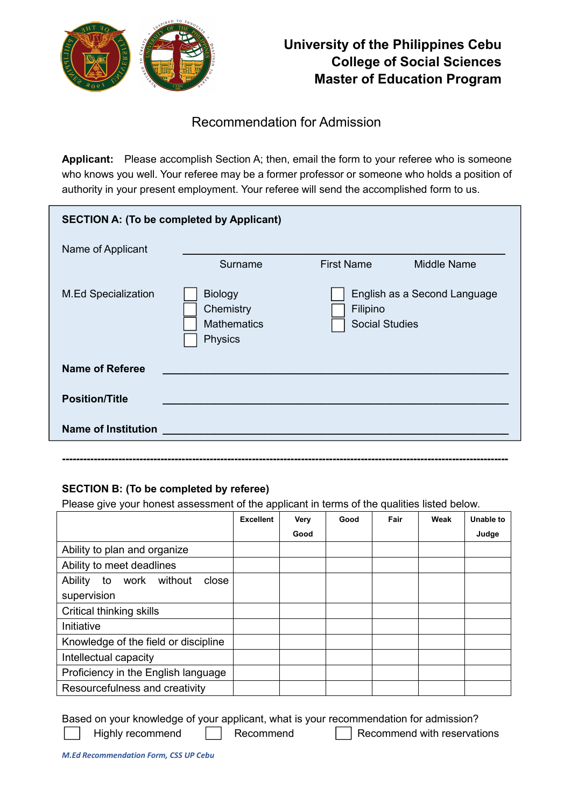

## **University of the Philippines Cebu College of Social Sciences Master of Education Program**

## Recommendation for Admission

Applicant: Please accomplish Section A; then, email the form to your referee who is someone who knows you well. Your referee may be a former professor or someone who holds a position of authority in your present employment. Your referee will send the accomplished form to us.

|                            | <b>SECTION A: (To be completed by Applicant)</b>             |                                                                   |
|----------------------------|--------------------------------------------------------------|-------------------------------------------------------------------|
| Name of Applicant          | Surname                                                      | <b>First Name</b><br><b>Middle Name</b>                           |
| <b>M.Ed Specialization</b> | <b>Biology</b><br>Chemistry<br><b>Mathematics</b><br>Physics | English as a Second Language<br>Filipino<br><b>Social Studies</b> |
| <b>Name of Referee</b>     |                                                              |                                                                   |
| <b>Position/Title</b>      |                                                              |                                                                   |
| <b>Name of Institution</b> |                                                              |                                                                   |

## **SECTION B: (To be completed by referee)**

Please give your honest assessment of the applicant in terms of the qualities listed below.

**-------------------------------------------------------------------------------------------------------------------------------**

|                                        | <b>Excellent</b> | Very | Good | Fair | Weak | <b>Unable to</b> |
|----------------------------------------|------------------|------|------|------|------|------------------|
|                                        |                  | Good |      |      |      | Judge            |
| Ability to plan and organize           |                  |      |      |      |      |                  |
| Ability to meet deadlines              |                  |      |      |      |      |                  |
| Ability<br>work without<br>close<br>to |                  |      |      |      |      |                  |
| supervision                            |                  |      |      |      |      |                  |
| Critical thinking skills               |                  |      |      |      |      |                  |
| Initiative                             |                  |      |      |      |      |                  |
| Knowledge of the field or discipline   |                  |      |      |      |      |                  |
| Intellectual capacity                  |                  |      |      |      |      |                  |
| Proficiency in the English language    |                  |      |      |      |      |                  |
| Resourcefulness and creativity         |                  |      |      |      |      |                  |

Based on your knowledge of your applicant, what is your recommendation for admission? Highly recommend  $\Box$  Recommend  $\Box$  Recommend with reservations

*M.Ed Recommendation Form, CSS UP Cebu*